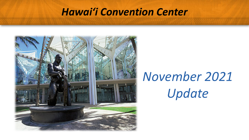#### *Hawai'i Convention Center*



## *November 2021 Update*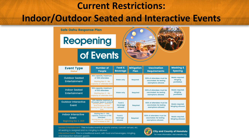#### **Current Restrictions: Indoor/Outdoor Seated and Interactive Events**

**Safe Oahu Response Plan** 

#### **Reopening**

#### of Events



| <b>Event Type</b><br><b>Status</b>                   | <b>Number of</b><br><b>People</b>                                                                                                                         | Food &<br><b>Beverage</b>        | <b>Mitigation</b><br><b>Plan</b> | <b>Vaccination</b><br><b>Requirements</b>                                  | <b>Masking &amp;</b><br><b>Spacing</b>            |
|------------------------------------------------------|-----------------------------------------------------------------------------------------------------------------------------------------------------------|----------------------------------|----------------------------------|----------------------------------------------------------------------------|---------------------------------------------------|
| <b>Outdoor Seated</b><br>Entertainment               | 50% capacity, maximum<br>of 1000 attendees<br>Starting Nov 3 - No<br>capacity or attendee limit                                                           | <b>Water only</b>                | <b>Required</b>                  | 100% of attendees must be<br>vaccinated. No testing<br>exemptions allowed. | Masks required.<br><b>Mingling</b><br>prohibited. |
| <b>Indoor Seated</b><br>Entertainment                | 50% capacity, maximum<br>of 500 attendees<br>Starting Nov 3 - No<br>capacity or attendee limit                                                            | <b>Water only</b>                | Required                         | 100% of attendees must be<br>vaccinated. No testing<br>exemptions allowed. | Masks required.<br><b>Mingling</b><br>prohibited. |
| <b>Outdoor Interactive</b><br>Event                  | 50% capacity, maximum of<br>150 people (guest & vendors)<br>Starting Nov 3 - Attendee<br>limit increases to 500<br>Starting Nov 24 - No capacity<br>limit | Food $\&$<br>beverage<br>allowed | <b>Required</b>                  | 100% of attendees must be<br>vaccinated. No testing<br>exemptions allowed. | Masks required.<br>Mingling allowed.              |
| Indoor Interactive<br>Event<br>Beginning Nov 3, 2021 | Starting Nov 3 - 50%<br>capacity, maximum of 150<br><b>attendees</b><br>Starting Nov 24 - Attendee<br>limit increases to 300                              | Food &<br>beverage<br>allowed    | Required                         | 100% of attendees must be<br>vaccinated. No testing<br>exemptions allowed. | Masks required.<br>Mingling allowed.              |

Seated Entertainment: This includes events at sports arenas, concert venues, etc. All seating is assigned and no mingling is allowed. Interactive Event: This is a traditional event, with food and beverages, mingling, and interaction between quests.



**City and County of Honolulu** or more information, visit oneoahu.org.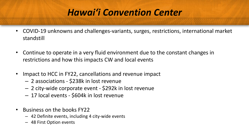#### *Hawai'i Convention Center*

- COVID-19 unknowns and challenges-variants, surges, restrictions, international market standstill
- Continue to operate in a very fluid environment due to the constant changes in restrictions and how this impacts CW and local events
- Impact to HCC in FY22, cancellations and revenue impact
	- 2 associations \$238k in lost revenue
	- 2 city-wide corporate event \$292k in lost revenue
	- 17 local events \$604k in lost revenue
- Business on the books FY22
	- 42 Definite events, including 4 city-wide events
	- 48 First Option events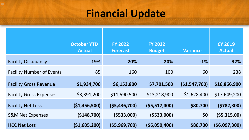### **Financial Update**

|                                  | <b>October YTD</b><br><b>Actual</b> | <b>FY 2022</b><br><b>Forecast</b> | <b>FY 2022</b><br><b>Budget</b> | <b>Variance</b> | <b>CY 2019</b><br><b>Actual</b> |
|----------------------------------|-------------------------------------|-----------------------------------|---------------------------------|-----------------|---------------------------------|
| <b>Facility Occupancy</b>        | 19%                                 | 20%                               | 20%                             | $-1\%$          | 32%                             |
| <b>Facility Number of Events</b> | 85                                  | 160                               | 100                             | 60              | 238                             |
| <b>Facility Gross Revenue</b>    | \$1,934,700                         | \$6,153,800                       | \$7,701,500                     | ( \$1,547,700)  | \$16,866,900                    |
| <b>Facility Gross Expenses</b>   | \$3,391,200                         | \$11,590,500                      | \$13,218,900                    | \$1,628,400     | \$17,649,200                    |
| <b>Facility Net Loss</b>         | ( \$1,456,500)                      | (55, 436, 700)                    | (55, 517, 400)                  | \$80,700        | (5782, 300)                     |
| <b>S&amp;M Net Expenses</b>      | ( \$148,700)                        | ( \$533,000]                      | ( \$533,000]                    | \$0             | (55, 315, 00)                   |
| <b>HCC Net Loss</b>              | (\$1,605,200)                       | (55,969,700)                      | ( \$6,050,400)                  | \$80,700        | (56,097,300)                    |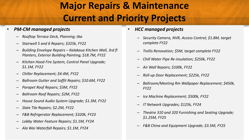### **Major Repairs & Maintenance Current and Priority Projects**

#### • *PM-CM managed projects*

- *Rooftop Terrace Deck, Planning; tba*
- *Stairwell 5 and 6 Repairs; \$325k, FY22*
- *Building Envelope Repairs – Kalakaua Kitchen Wall, 3rd fl Planters, Exterior Building Painting; \$18.7M, FY22*
- *Kitchen Hood Fire System, Control Panel Upgrade; \$1.1M, FY22*
- *Chiller Replacement; \$4.4M, FY22*
- *Ballroom Gutter and Soffit Repairs; \$10.6M, FY22*
- *Parapet Roof Repairs; \$3M, FY22*
- *Ballroom Roof Repairs; \$2M, FY22*
- *House Sound Audio System Upgrade; \$1.3M, FY22*
- *Slate Tile Repairs; \$2.2M, FY22*
- *F&B Refrigerator Replacement; \$320k, FY23*
- *Lobby Water Feature Repairs; \$1.1M, FY24*
- *Ala Wai Waterfall Repairs; \$1.1M, FY24*
- *HCC managed projects*
	- *Security Camera, NVR, Access Control; \$1.8M, target complete FY22*
	- *Trellis Renovation; \$5M, target complete FY22*
	- *Chill Water Pipe Re-insulation; \$250k, FY22*
	- *Air Wall Repairs; \$100k, FY22*
	- *Roll-up Door Replacement; \$225k, FY22*
	- *Ballroom/Meeting Rm Wallpaper Replacement; \$450k, FY22*
	- *Ice Machine Replacement; \$500k, FY22*
	- *IT Network Upgrades; \$125k, FY24*
	- *Theatre 310 and 320 Furnishing and Seating Upgrade; \$1.25M, FY25*
	- *F&B China and Equipment Upgrade; \$3.5M, FY25*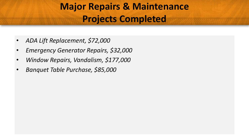### **Major Repairs & Maintenance Projects Completed**

- *ADA Lift Replacement, \$72,000*
- *Emergency Generator Repairs, \$32,000*
- *Window Repairs, Vandalism, \$177,000*
- *Banquet Table Purchase, \$85,000*